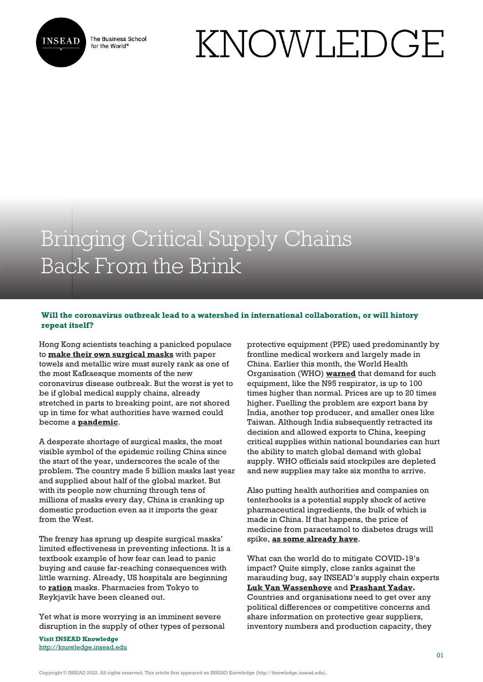

The Business School for the World<sup>®</sup>

# KNOWLEDGE

## Bringing Critical Supply Chains Back From the Brink

### **Will the coronavirus outbreak lead to a watershed in international collaboration, or will history repeat itself?**

Hong Kong scientists teaching a panicked populace to **[make their own surgical masks](https://www.scmp.com/news/hong-kong/health-environment/article/3050689/how-make-your-own-mask-hong-kong-scientists)** with paper towels and metallic wire must surely rank as one of the most Kafkaesque moments of the new coronavirus disease outbreak. But the worst is yet to be if global medical supply chains, already stretched in parts to breaking point, are not shored up in time for what authorities have warned could become a **[pandemic](https://www.statnews.com/2020/02/12/understanding-pandemics-what-they-mean-coronavirus/)**.

A desperate shortage of surgical masks, the most visible symbol of the epidemic roiling China since the start of the year, underscores the scale of the problem. The country made 5 billion masks last year and supplied about half of the global market. But with its people now churning through tens of millions of masks every day, China is cranking up domestic production even as it imports the gear from the West.

The frenzy has sprung up despite surgical masks' limited effectiveness in preventing infections. It is a textbook example of how fear can lead to panic buying and cause far-reaching consequences with little warning. Already, US hospitals are beginning to **[ration](https://asia.nikkei.com/Spotlight/Coronavirus/Mask-shortages-threaten-US-hospitals-after-warnings-ignored)** masks. Pharmacies from Tokyo to Reykjavik have been cleaned out.

Yet what is more worrying is an imminent severe disruption in the supply of other types of personal

**Visit INSEAD Knowledge** <http://knowledge.insead.edu> protective equipment (PPE) used predominantly by frontline medical workers and largely made in China. Earlier this month, the World Health Organisation (WHO) **[warned](http://www.cidrap.umn.edu/news-perspective/2020/02/who-warns-ppe-shortage-ncov-pace-slows-slightly-china)** that demand for such equipment, like the N95 respirator, is up to 100 times higher than normal. Prices are up to 20 times higher. Fuelling the problem are export bans by India, another top producer, and smaller ones like Taiwan. Although India subsequently retracted its decision and allowed exports to China, keeping critical supplies within national boundaries can hurt the ability to match global demand with global supply. WHO officials said stockpiles are depleted and new supplies may take six months to arrive.

Also putting health authorities and companies on tenterhooks is a potential supply shock of active pharmaceutical ingredients, the bulk of which is made in China. If that happens, the price of medicine from paracetamol to diabetes drugs will spike, **[as some already have](https://www.bloomberg.com/news/articles/2020-02-17/drugs-to-electronics-output-in-india-seen-hit-by-china-shutdown)**.

What can the world do to mitigate COVID-19's impact? Quite simply, close ranks against the marauding bug, say INSEAD's supply chain experts **[Luk Van Wassenhove](https://knowledge.insead.edu/users/lukvanwassenhove)** and **[Prashant Yadav.](https://knowledge.insead.edu/users/prashant-yadav)** Countries and organisations need to get over any political differences or competitive concerns and share information on protective gear suppliers, inventory numbers and production capacity, they

Copyright © INSEAD 2022. All rights reserved. This article first appeared on INSEAD Knowledge (http://knowledge.insead.edu).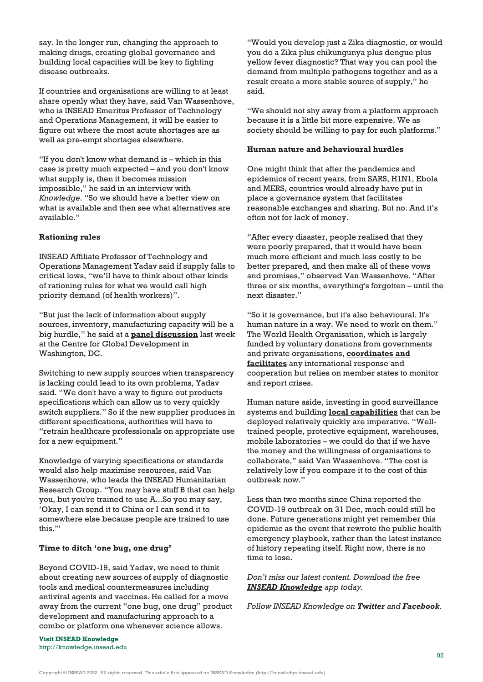say. In the longer run, changing the approach to making drugs, creating global governance and building local capacities will be key to fighting disease outbreaks.

If countries and organisations are willing to at least share openly what they have, said Van Wassenhove, who is INSEAD Emeritus Professor of Technology and Operations Management, it will be easier to figure out where the most acute shortages are as well as pre-empt shortages elsewhere.

"If you don't know what demand is – which in this case is pretty much expected – and you don't know what supply is, then it becomes mission impossible," he said in an interview with *Knowledge*. "So we should have a better view on what is available and then see what alternatives are available."

#### **Rationing rules**

INSEAD Affiliate Professor of Technology and Operations Management Yadav said if supply falls to critical lows, "we'll have to think about other kinds of rationing rules for what we would call high priority demand (of health workers)".

"But just the lack of information about supply sources, inventory, manufacturing capacity will be a big hurdle," he said at a **[panel discussion](https://www.cgdev.org/event/battling-coronavirus-world-ready)** last week at the Centre for Global Development in Washington, DC.

Switching to new supply sources when transparency is lacking could lead to its own problems, Yadav said. "We don't have a way to figure out products specifications which can allow us to very quickly switch suppliers." So if the new supplier produces in different specifications, authorities will have to "retrain healthcare professionals on appropriate use for a new equipment."

Knowledge of varying specifications or standards would also help maximise resources, said Van Wassenhove, who leads the INSEAD Humanitarian Research Group. "You may have stuff B that can help you, but you're trained to use A...So you may say, 'Okay, I can send it to China or I can send it to somewhere else because people are trained to use this.'"

#### **Time to ditch 'one bug, one drug'**

Beyond COVID-19, said Yadav, we need to think about creating new sources of supply of diagnostic tools and medical countermeasures including antiviral agents and vaccines. He called for a move away from the current "one bug, one drug" product development and manufacturing approach to a combo or platform one whenever science allows.

"Would you develop just a Zika diagnostic, or would you do a Zika plus chikungunya plus dengue plus yellow fever diagnostic? That way you can pool the demand from multiple pathogens together and as a result create a more stable source of supply," he said.

"We should not shy away from a platform approach because it is a little bit more expensive. We as society should be willing to pay for such platforms."

#### **Human nature and behavioural hurdles**

One might think that after the pandemics and epidemics of recent years, from SARS, H1N1, Ebola and MERS, countries would already have put in place a governance system that facilitates reasonable exchanges and sharing. But no. And it's often not for lack of money.

"After every disaster, people realised that they were poorly prepared, that it would have been much more efficient and much less costly to be better prepared, and then make all of these vows and promises," observed Van Wassenhove. "After three or six months, everything's forgotten – until the next disaster."

"So it is governance, but it's also behavioural. It's human nature in a way. We need to work on them." The World Health Organisation, which is largely funded by voluntary donations from governments and private organisations, **[coordinates and](https://www.cfr.org/backgrounder/world-health-organization) [facilitates](https://www.cfr.org/backgrounder/world-health-organization)** any international response and cooperation but relies on member states to monitor and report crises.

Human nature aside, investing in good surveillance systems and building **[local capabilities](https://knowledge.insead.edu/blog/insead-blog/local-capacity-building-crucial-to-contain-pandemics-7506)** that can be deployed relatively quickly are imperative. "Welltrained people, protective equipment, warehouses, mobile laboratories – we could do that if we have the money and the willingness of organisations to collaborate," said Van Wassenhove. "The cost is relatively low if you compare it to the cost of this outbreak now."

Less than two months since China reported the COVID-19 outbreak on 31 Dec, much could still be done. Future generations might yet remember this epidemic as the event that rewrote the public health emergency playbook, rather than the latest instance of history repeating itself. Right now, there is no time to lose.

*Don't miss our latest content. Download the free [INSEAD Knowledge](https://knowledge.insead.edu/mobile-apps) app today.*

*Follow INSEAD Knowledge on [Twitter](https://twitter.com/inseadknowledge) and [Facebook](https://www.facebook.com/Knowledge.insead).*

**Visit INSEAD Knowledge** <http://knowledge.insead.edu>

Copyright © INSEAD 2022. All rights reserved. This article first appeared on INSEAD Knowledge (http://knowledge.insead.edu).